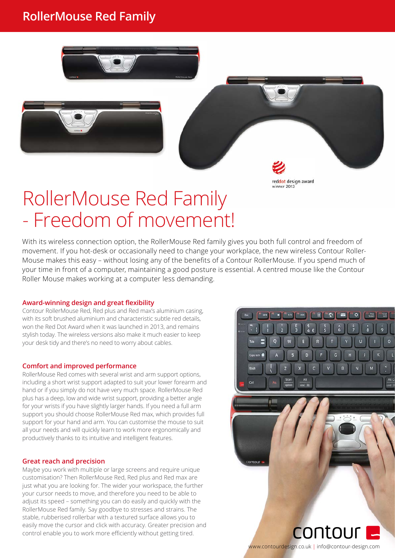# **RollerMouse Red Family**







# RollerMouse Red Family - Freedom of movement!

With its wireless connection option, the RollerMouse Red family gives you both full control and freedom of movement. If you hot-desk or occasionally need to change your workplace, the new wireless Contour Roller-Mouse makes this easy – without losing any of the benefits of a Contour RollerMouse. If you spend much of your time in front of a computer, maintaining a good posture is essential. A centred mouse like the Contour Roller Mouse makes working at a computer less demanding.

#### **Award-winning design and great flexibility**

Contour RollerMouse Red, Red plus and Red max's aluminium casing, with its soft brushed aluminium and characteristic subtle red details, won the Red Dot Award when it was launched in 2013, and remains stylish today. The wireless versions also make it much easier to keep your desk tidy and there's no need to worry about cables.

#### **Comfort and improved performance**

RollerMouse Red comes with several wrist and arm support options, including a short wrist support adapted to suit your lower forearm and hand or if you simply do not have very much space. RollerMouse Red plus has a deep, low and wide wrist support, providing a better angle for your wrists if you have slightly larger hands. If you need a full arm support you should choose RollerMouse Red max, which provides full support for your hand and arm. You can customise the mouse to suit all your needs and will quickly learn to work more ergonomically and productively thanks to its intuitive and intelligent features.

#### **Great reach and precision**

Maybe you work with multiple or large screens and require unique customisation? Then RollerMouse Red, Red plus and Red max are just what you are looking for. The wider your workspace, the further your cursor needs to move, and therefore you need to be able to adjust its speed – something you can do easily and quickly with the RollerMouse Red family. Say goodbye to stresses and strains. The stable, rubberised rollerbar with a textured surface allows you to easily move the cursor and click with accuracy. Greater precision and control enable you to work more efficiently without getting tired.